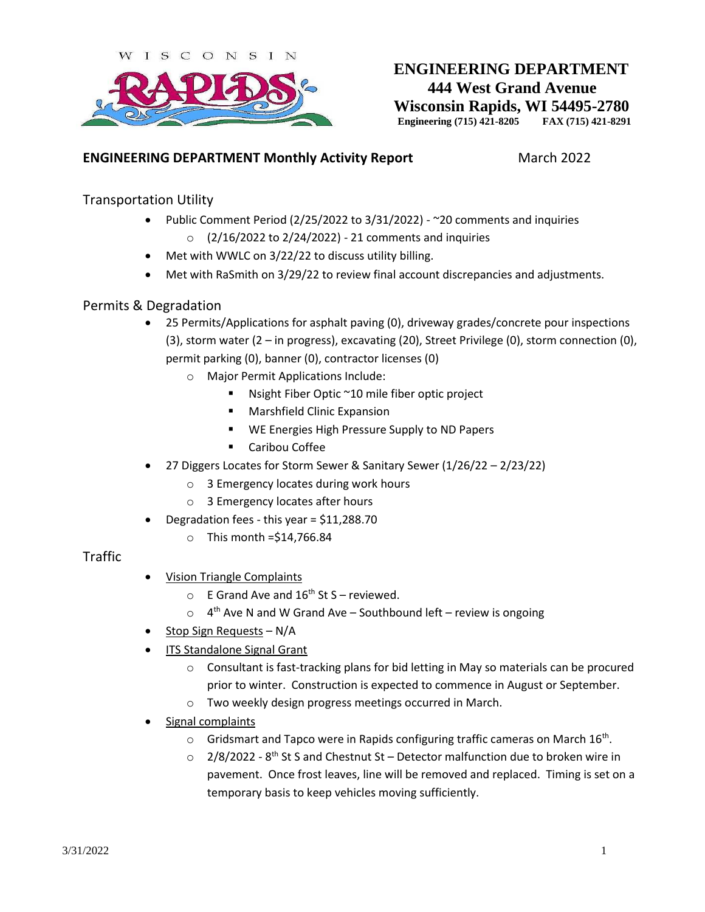

# **ENGINEERING DEPARTMENT 444 West Grand Avenue Wisconsin Rapids, WI 54495-2780 Engineering (715) 421-8205 FAX (715) 421-8291**

#### **ENGINEERING DEPARTMENT Monthly Activity Report** March 2022

#### Transportation Utility

- Public Comment Period (2/25/2022 to 3/31/2022) ~20 comments and inquiries  $\circ$  (2/16/2022 to 2/24/2022) - 21 comments and inquiries
	-
- Met with WWLC on 3/22/22 to discuss utility billing.
- Met with RaSmith on 3/29/22 to review final account discrepancies and adjustments.

#### Permits & Degradation

- 25 Permits/Applications for asphalt paving (0), driveway grades/concrete pour inspections (3), storm water (2 – in progress), excavating (20), Street Privilege (0), storm connection (0), permit parking (0), banner (0), contractor licenses (0)
	- o Major Permit Applications Include:
		- Nsight Fiber Optic ~10 mile fiber optic project
		- **Marshfield Clinic Expansion**
		- **WE Energies High Pressure Supply to ND Papers**
		- **EXEC** Caribou Coffee
- 27 Diggers Locates for Storm Sewer & Sanitary Sewer (1/26/22 2/23/22)
	- o 3 Emergency locates during work hours
	- o 3 Emergency locates after hours
- Degradation fees this year = \$11,288.70
	- $\circ$  This month = \$14,766.84

#### Traffic

- Vision Triangle Complaints
	- $\circ$  E Grand Ave and 16<sup>th</sup> St S reviewed.
	- $\circ$  4<sup>th</sup> Ave N and W Grand Ave Southbound left review is ongoing
- Stop Sign Requests N/A
- ITS Standalone Signal Grant
	- $\circ$  Consultant is fast-tracking plans for bid letting in May so materials can be procured prior to winter. Construction is expected to commence in August or September.
	- o Two weekly design progress meetings occurred in March.
- Signal complaints
	- $\circ$  Gridsmart and Tapco were in Rapids configuring traffic cameras on March 16<sup>th</sup>.
	- $\circ$  2/8/2022 8<sup>th</sup> St S and Chestnut St Detector malfunction due to broken wire in pavement. Once frost leaves, line will be removed and replaced. Timing is set on a temporary basis to keep vehicles moving sufficiently.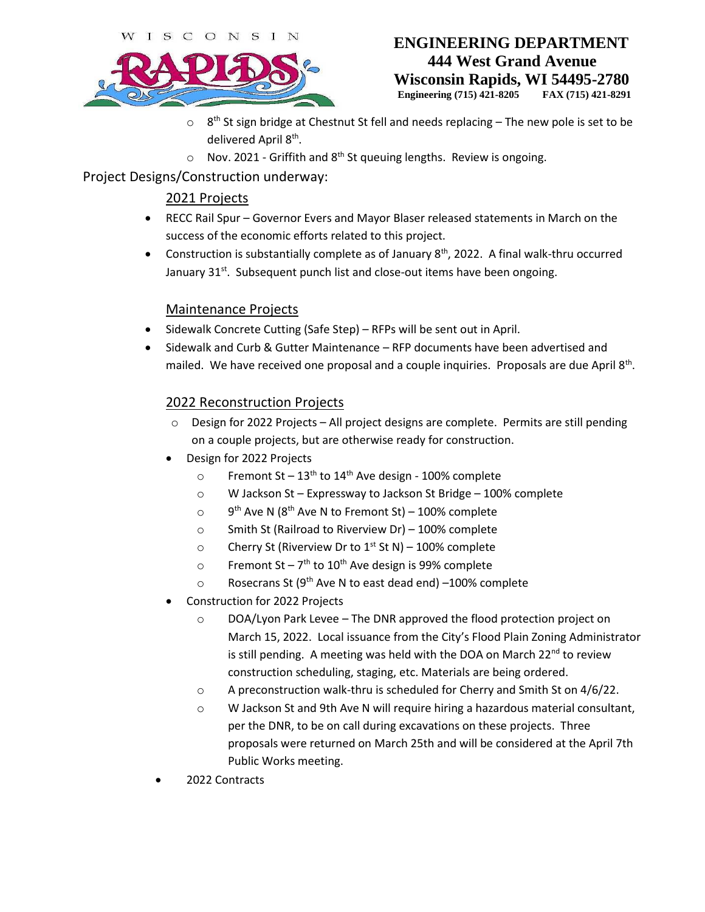ISCONSI N



# **ENGINEERING DEPARTMENT 444 West Grand Avenue Wisconsin Rapids, WI 54495-2780**

**Engineering (715) 421-8205 FAX (715) 421-8291**

- $\circ$  8<sup>th</sup> St sign bridge at Chestnut St fell and needs replacing The new pole is set to be delivered April 8<sup>th</sup>.
- $\circ$  Nov. 2021 Griffith and 8<sup>th</sup> St queuing lengths. Review is ongoing.

# Project Designs/Construction underway:

# 2021 Projects

- RECC Rail Spur Governor Evers and Mayor Blaser released statements in March on the success of the economic efforts related to this project.
- Construction is substantially complete as of January  $8<sup>th</sup>$ , 2022. A final walk-thru occurred January 31<sup>st</sup>. Subsequent punch list and close-out items have been ongoing.

## Maintenance Projects

- Sidewalk Concrete Cutting (Safe Step) RFPs will be sent out in April.
- Sidewalk and Curb & Gutter Maintenance RFP documents have been advertised and mailed. We have received one proposal and a couple inquiries. Proposals are due April 8<sup>th</sup>.

## 2022 Reconstruction Projects

- $\circ$  Design for 2022 Projects All project designs are complete. Permits are still pending on a couple projects, but are otherwise ready for construction.
- Design for 2022 Projects
	- o Fremont St  $13<sup>th</sup>$  to  $14<sup>th</sup>$  Ave design 100% complete
	- o W Jackson St Expressway to Jackson St Bridge 100% complete
	- $\circ$  $9<sup>th</sup>$  Ave N (8<sup>th</sup> Ave N to Fremont St) – 100% complete
	- o Smith St (Railroad to Riverview Dr) 100% complete
	- o Cherry St (Riverview Dr to  $1<sup>st</sup>$  St N) 100% complete
	- $\circ$  Fremont St 7<sup>th</sup> to 10<sup>th</sup> Ave design is 99% complete
	- $\circ$  Rosecrans St (9<sup>th</sup> Ave N to east dead end) –100% complete
- Construction for 2022 Projects
	- $\circ$  DOA/Lyon Park Levee The DNR approved the flood protection project on March 15, 2022. Local issuance from the City's Flood Plain Zoning Administrator is still pending. A meeting was held with the DOA on March  $22^{nd}$  to review construction scheduling, staging, etc. Materials are being ordered.
	- o A preconstruction walk-thru is scheduled for Cherry and Smith St on 4/6/22.
	- o W Jackson St and 9th Ave N will require hiring a hazardous material consultant, per the DNR, to be on call during excavations on these projects. Three proposals were returned on March 25th and will be considered at the April 7th Public Works meeting.
- 2022 Contracts